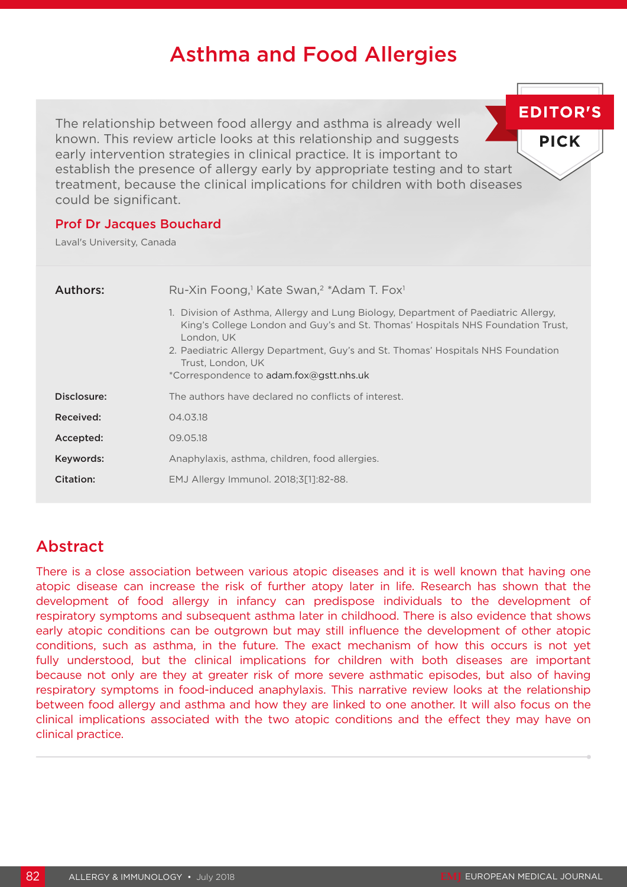# Asthma and Food Allergies

The relationship between food allergy and asthma is already well known. This review article looks at this relationship and suggests early intervention strategies in clinical practice. It is important to establish the presence of allergy early by appropriate testing and to start treatment, because the clinical implications for children with both diseases could be significant.

### Prof Dr Jacques Bouchard

Laval's University, Canada

| Authors:<br>Ru-Xin Foong, <sup>1</sup> Kate Swan, <sup>2</sup> *Adam T. Fox <sup>1</sup>                                                                                                                                                                                                                                                |  |
|-----------------------------------------------------------------------------------------------------------------------------------------------------------------------------------------------------------------------------------------------------------------------------------------------------------------------------------------|--|
| 1. Division of Asthma, Allergy and Lung Biology, Department of Paediatric Allergy,<br>King's College London and Guy's and St. Thomas' Hospitals NHS Foundation Trust,<br>London, UK<br>2. Paediatric Allergy Department, Guy's and St. Thomas' Hospitals NHS Foundation<br>Trust, London, UK<br>*Correspondence to adam.fox@gstt.nhs.uk |  |
| Disclosure:<br>The authors have declared no conflicts of interest.                                                                                                                                                                                                                                                                      |  |
| Received:<br>04.03.18                                                                                                                                                                                                                                                                                                                   |  |
| Accepted:<br>09.05.18                                                                                                                                                                                                                                                                                                                   |  |
| Keywords:<br>Anaphylaxis, asthma, children, food allergies.                                                                                                                                                                                                                                                                             |  |
| Citation:<br>EMJ Allergy Immunol. 2018;3[1]:82-88.                                                                                                                                                                                                                                                                                      |  |

# Abstract

There is a close association between various atopic diseases and it is well known that having one atopic disease can increase the risk of further atopy later in life. Research has shown that the development of food allergy in infancy can predispose individuals to the development of respiratory symptoms and subsequent asthma later in childhood. There is also evidence that shows early atopic conditions can be outgrown but may still influence the development of other atopic conditions, such as asthma, in the future. The exact mechanism of how this occurs is not yet fully understood, but the clinical implications for children with both diseases are important because not only are they at greater risk of more severe asthmatic episodes, but also of having respiratory symptoms in food-induced anaphylaxis. This narrative review looks at the relationship between food allergy and asthma and how they are linked to one another. It will also focus on the clinical implications associated with the two atopic conditions and the effect they may have on clinical practice.

**EDITOR'S** 

**PICK**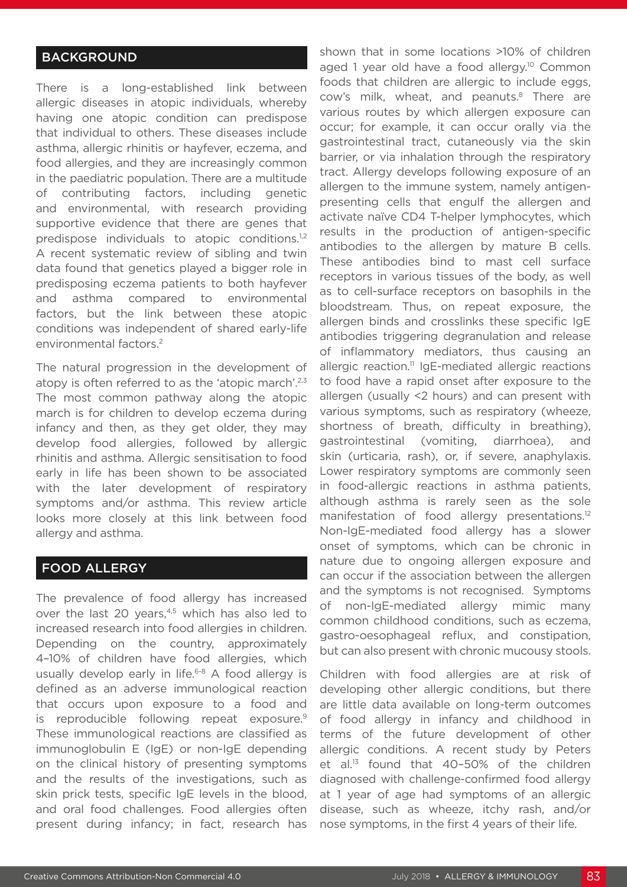# **BACKGROUND**

There is a long-established link between allergic diseases in atopic individuals, whereby having one atopic condition can predispose that individual to others. These diseases include asthma, allergic rhinitis or hayfever, eczema, and food allergies, and they are increasingly common in the paediatric population. There are a multitude of contributing factors, including genetic and environmental, with research providing supportive evidence that there are genes that predispose individuals to atopic conditions.<sup>1,2</sup> A recent systematic review of sibling and twin data found that genetics played a bigger role in predisposing eczema patients to both hayfever and asthma compared to environmental factors, but the link between these atopic conditions was independent of shared early-life environmental factors.2

The natural progression in the development of atopy is often referred to as the 'atopic march'.<sup>2,3</sup> The most common pathway along the atopic march is for children to develop eczema during infancy and then, as they get older, they may develop food allergies, followed by allergic rhinitis and asthma. Allergic sensitisation to food early in life has been shown to be associated with the later development of respiratory symptoms and/or asthma. This review article looks more closely at this link between food allergy and asthma.

#### FOOD ALLERGY

The prevalence of food allergy has increased over the last 20 years, $4,5$  which has also led to increased research into food allergies in children. Depending on the country, approximately 4–10% of children have food allergies, which usually develop early in life.<sup>6-8</sup> A food allergy is defined as an adverse immunological reaction that occurs upon exposure to a food and is reproducible following repeat exposure.<sup>9</sup> These immunological reactions are classified as immunoglobulin E (IgE) or non-IgE depending on the clinical history of presenting symptoms and the results of the investigations, such as skin prick tests, specific IgE levels in the blood, and oral food challenges. Food allergies often present during infancy; in fact, research has

shown that in some locations >10% of children aged 1 year old have a food allergy.<sup>10</sup> Common foods that children are allergic to include eggs, cow's milk, wheat, and peanuts.<sup>8</sup> There are various routes by which allergen exposure can occur; for example, it can occur orally via the gastrointestinal tract, cutaneously via the skin barrier, or via inhalation through the respiratory tract. Allergy develops following exposure of an allergen to the immune system, namely antigenpresenting cells that engulf the allergen and activate naïve CD4 T-helper lymphocytes, which results in the production of antigen-specific antibodies to the allergen by mature B cells. These antibodies bind to mast cell surface receptors in various tissues of the body, as well as to cell-surface receptors on basophils in the bloodstream. Thus, on repeat exposure, the allergen binds and crosslinks these specific IgE antibodies triggering degranulation and release of inflammatory mediators, thus causing an allergic reaction.<sup>11</sup> IgE-mediated allergic reactions to food have a rapid onset after exposure to the allergen (usually <2 hours) and can present with various symptoms, such as respiratory (wheeze, shortness of breath, difficulty in breathing), gastrointestinal (vomiting, diarrhoea), and skin (urticaria, rash), or, if severe, anaphylaxis. Lower respiratory symptoms are commonly seen in food-allergic reactions in asthma patients, although asthma is rarely seen as the sole manifestation of food allergy presentations.<sup>12</sup> Non-IgE-mediated food allergy has a slower onset of symptoms, which can be chronic in nature due to ongoing allergen exposure and can occur if the association between the allergen and the symptoms is not recognised. Symptoms of non-IgE-mediated allergy mimic many common childhood conditions, such as eczema, gastro-oesophageal reflux, and constipation, but can also present with chronic mucousy stools.

Children with food allergies are at risk of developing other allergic conditions, but there are little data available on long-term outcomes of food allergy in infancy and childhood in terms of the future development of other allergic conditions. A recent study by Peters et al. $^{13}$  found that 40-50% of the children diagnosed with challenge-confirmed food allergy at 1 year of age had symptoms of an allergic disease, such as wheeze, itchy rash, and/or nose symptoms, in the first 4 years of their life.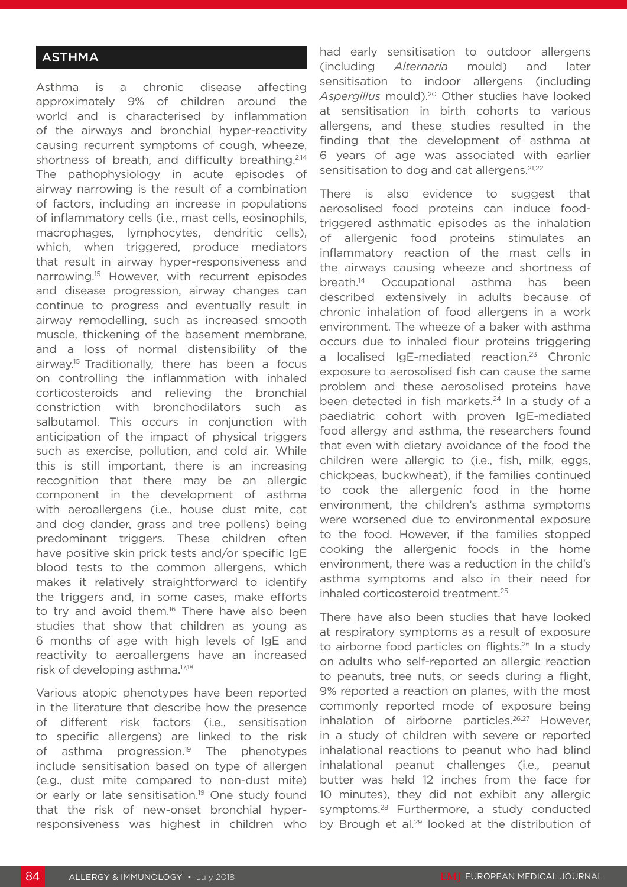# **ASTHMA**

Asthma is a chronic disease affecting approximately 9% of children around the world and is characterised by inflammation of the airways and bronchial hyper-reactivity causing recurrent symptoms of cough, wheeze, shortness of breath, and difficulty breathing.<sup>2,14</sup> The pathophysiology in acute episodes of airway narrowing is the result of a combination of factors, including an increase in populations of inflammatory cells (i.e., mast cells, eosinophils, macrophages, lymphocytes, dendritic cells), which, when triggered, produce mediators that result in airway hyper-responsiveness and narrowing.15 However, with recurrent episodes and disease progression, airway changes can continue to progress and eventually result in airway remodelling, such as increased smooth muscle, thickening of the basement membrane, and a loss of normal distensibility of the airway.15 Traditionally, there has been a focus on controlling the inflammation with inhaled corticosteroids and relieving the bronchial constriction with bronchodilators such as salbutamol. This occurs in conjunction with anticipation of the impact of physical triggers such as exercise, pollution, and cold air. While this is still important, there is an increasing recognition that there may be an allergic component in the development of asthma with aeroallergens (i.e., house dust mite, cat and dog dander, grass and tree pollens) being predominant triggers. These children often have positive skin prick tests and/or specific IgE blood tests to the common allergens, which makes it relatively straightforward to identify the triggers and, in some cases, make efforts to try and avoid them.<sup>16</sup> There have also been studies that show that children as young as 6 months of age with high levels of IgE and reactivity to aeroallergens have an increased risk of developing asthma.17,18

Various atopic phenotypes have been reported in the literature that describe how the presence of different risk factors (i.e., sensitisation to specific allergens) are linked to the risk of asthma progression.<sup>19</sup> The phenotypes include sensitisation based on type of allergen (e.g., dust mite compared to non-dust mite) or early or late sensitisation.<sup>19</sup> One study found that the risk of new-onset bronchial hyperresponsiveness was highest in children who

had early sensitisation to outdoor allergens (including *Alternaria* mould) and later sensitisation to indoor allergens (including *Aspergillus* mould).20 Other studies have looked at sensitisation in birth cohorts to various allergens, and these studies resulted in the finding that the development of asthma at 6 years of age was associated with earlier sensitisation to dog and cat allergens.<sup>21,22</sup>

There is also evidence to suggest that aerosolised food proteins can induce foodtriggered asthmatic episodes as the inhalation of allergenic food proteins stimulates an inflammatory reaction of the mast cells in the airways causing wheeze and shortness of breath.14 Occupational asthma has been described extensively in adults because of chronic inhalation of food allergens in a work environment. The wheeze of a baker with asthma occurs due to inhaled flour proteins triggering a localised IgE-mediated reaction.<sup>23</sup> Chronic exposure to aerosolised fish can cause the same problem and these aerosolised proteins have been detected in fish markets.<sup>24</sup> In a study of a paediatric cohort with proven IgE-mediated food allergy and asthma, the researchers found that even with dietary avoidance of the food the children were allergic to (i.e., fish, milk, eggs, chickpeas, buckwheat), if the families continued to cook the allergenic food in the home environment, the children's asthma symptoms were worsened due to environmental exposure to the food. However, if the families stopped cooking the allergenic foods in the home environment, there was a reduction in the child's asthma symptoms and also in their need for inhaled corticosteroid treatment.25

There have also been studies that have looked at respiratory symptoms as a result of exposure to airborne food particles on flights.<sup>26</sup> In a study on adults who self-reported an allergic reaction to peanuts, tree nuts, or seeds during a flight, 9% reported a reaction on planes, with the most commonly reported mode of exposure being inhalation of airborne particles.<sup>26,27</sup> However, in a study of children with severe or reported inhalational reactions to peanut who had blind inhalational peanut challenges (i.e., peanut butter was held 12 inches from the face for 10 minutes), they did not exhibit any allergic symptoms.<sup>28</sup> Furthermore, a study conducted by Brough et al.<sup>29</sup> looked at the distribution of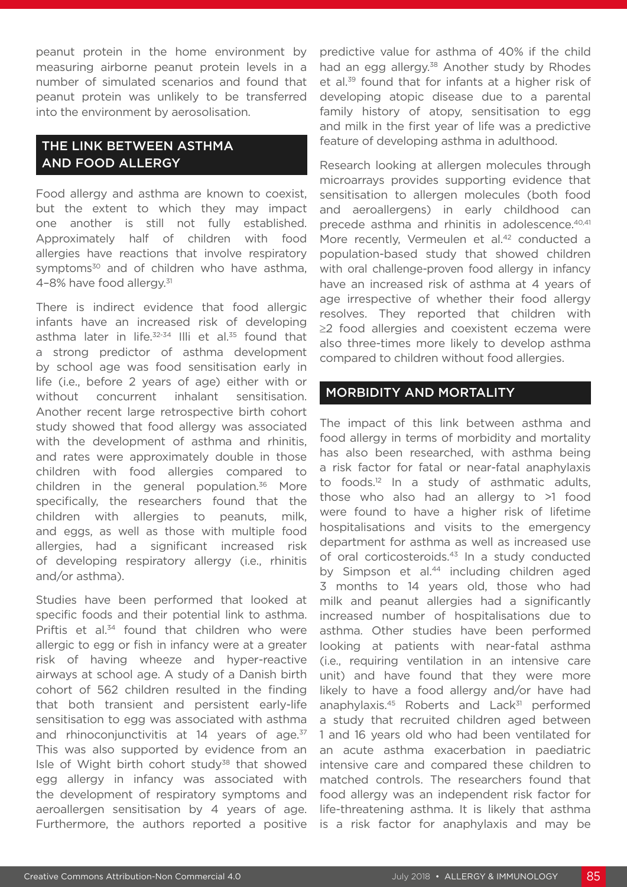peanut protein in the home environment by measuring airborne peanut protein levels in a number of simulated scenarios and found that peanut protein was unlikely to be transferred into the environment by aerosolisation.

# THE LINK BETWEEN ASTHMA AND FOOD ALLERGY

Food allergy and asthma are known to coexist, but the extent to which they may impact one another is still not fully established. Approximately half of children with food allergies have reactions that involve respiratory symptoms<sup>30</sup> and of children who have asthma, 4–8% have food allergy.31

There is indirect evidence that food allergic infants have an increased risk of developing asthma later in life.<sup>32-34</sup> Illi et al.<sup>35</sup> found that a strong predictor of asthma development by school age was food sensitisation early in life (i.e., before 2 years of age) either with or without concurrent inhalant sensitisation. Another recent large retrospective birth cohort study showed that food allergy was associated with the development of asthma and rhinitis, and rates were approximately double in those children with food allergies compared to children in the general population.<sup>36</sup> More specifically, the researchers found that the children with allergies to peanuts, milk, and eggs, as well as those with multiple food allergies, had a significant increased risk of developing respiratory allergy (i.e., rhinitis and/or asthma).

Studies have been performed that looked at specific foods and their potential link to asthma. Priftis et al.<sup>34</sup> found that children who were allergic to egg or fish in infancy were at a greater risk of having wheeze and hyper-reactive airways at school age. A study of a Danish birth cohort of 562 children resulted in the finding that both transient and persistent early-life sensitisation to egg was associated with asthma and rhinoconjunctivitis at 14 years of age.<sup>37</sup> This was also supported by evidence from an Isle of Wight birth cohort study<sup>38</sup> that showed egg allergy in infancy was associated with the development of respiratory symptoms and aeroallergen sensitisation by 4 years of age. Furthermore, the authors reported a positive

predictive value for asthma of 40% if the child had an egg allergy.<sup>38</sup> Another study by Rhodes et al.39 found that for infants at a higher risk of developing atopic disease due to a parental family history of atopy, sensitisation to egg and milk in the first year of life was a predictive feature of developing asthma in adulthood.

Research looking at allergen molecules through microarrays provides supporting evidence that sensitisation to allergen molecules (both food and aeroallergens) in early childhood can precede asthma and rhinitis in adolescence.<sup>40,41</sup> More recently, Vermeulen et al.<sup>42</sup> conducted a population-based study that showed children with oral challenge-proven food allergy in infancy have an increased risk of asthma at 4 years of age irrespective of whether their food allergy resolves. They reported that children with ≥2 food allergies and coexistent eczema were also three-times more likely to develop asthma compared to children without food allergies.

## MORBIDITY AND MORTALITY

The impact of this link between asthma and food allergy in terms of morbidity and mortality has also been researched, with asthma being a risk factor for fatal or near-fatal anaphylaxis to foods.12 In a study of asthmatic adults, those who also had an allergy to >1 food were found to have a higher risk of lifetime hospitalisations and visits to the emergency department for asthma as well as increased use of oral corticosteroids.<sup>43</sup> In a study conducted by Simpson et al.<sup>44</sup> including children aged 3 months to 14 years old, those who had milk and peanut allergies had a significantly increased number of hospitalisations due to asthma. Other studies have been performed looking at patients with near-fatal asthma (i.e., requiring ventilation in an intensive care unit) and have found that they were more likely to have a food allergy and/or have had anaphylaxis. $45$  Roberts and Lack $31$  performed a study that recruited children aged between 1 and 16 years old who had been ventilated for an acute asthma exacerbation in paediatric intensive care and compared these children to matched controls. The researchers found that food allergy was an independent risk factor for life-threatening asthma. It is likely that asthma is a risk factor for anaphylaxis and may be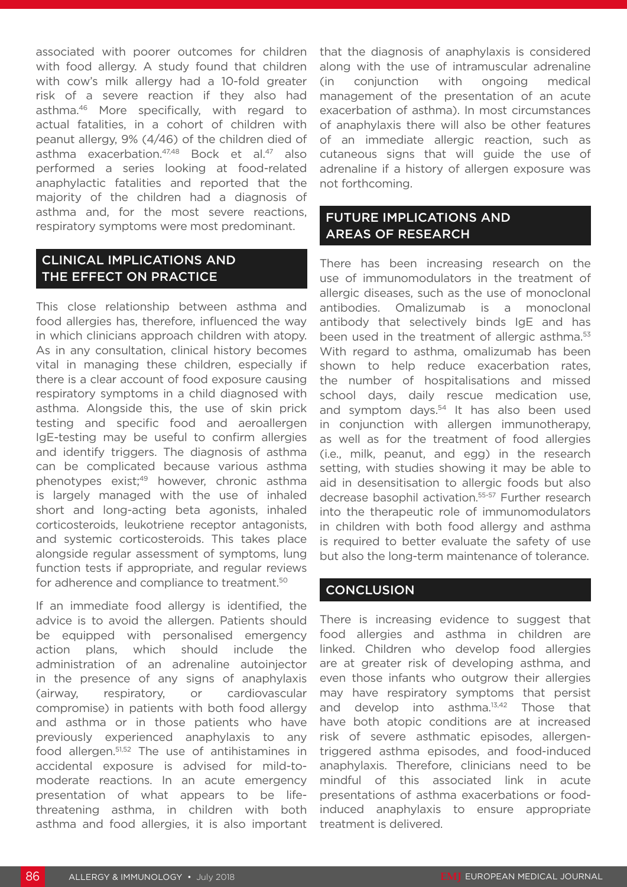associated with poorer outcomes for children with food allergy. A study found that children with cow's milk allergy had a 10-fold greater risk of a severe reaction if they also had asthma.46 More specifically, with regard to actual fatalities, in a cohort of children with peanut allergy, 9% (4/46) of the children died of asthma exacerbation.47,48 Bock et al.47 also performed a series looking at food-related anaphylactic fatalities and reported that the majority of the children had a diagnosis of asthma and, for the most severe reactions, respiratory symptoms were most predominant.

# CLINICAL IMPLICATIONS AND THE EFFECT ON PRACTICE

This close relationship between asthma and food allergies has, therefore, influenced the way in which clinicians approach children with atopy. As in any consultation, clinical history becomes vital in managing these children, especially if there is a clear account of food exposure causing respiratory symptoms in a child diagnosed with asthma. Alongside this, the use of skin prick testing and specific food and aeroallergen IgE-testing may be useful to confirm allergies and identify triggers. The diagnosis of asthma can be complicated because various asthma phenotypes exist;49 however, chronic asthma is largely managed with the use of inhaled short and long-acting beta agonists, inhaled corticosteroids, leukotriene receptor antagonists, and systemic corticosteroids. This takes place alongside regular assessment of symptoms, lung function tests if appropriate, and regular reviews for adherence and compliance to treatment.<sup>50</sup>

If an immediate food allergy is identified, the advice is to avoid the allergen. Patients should be equipped with personalised emergency action plans, which should include the administration of an adrenaline autoinjector in the presence of any signs of anaphylaxis (airway, respiratory, or cardiovascular compromise) in patients with both food allergy and asthma or in those patients who have previously experienced anaphylaxis to any food allergen.51,52 The use of antihistamines in accidental exposure is advised for mild-tomoderate reactions. In an acute emergency presentation of what appears to be lifethreatening asthma, in children with both asthma and food allergies, it is also important

that the diagnosis of anaphylaxis is considered along with the use of intramuscular adrenaline (in conjunction with ongoing medical management of the presentation of an acute exacerbation of asthma). In most circumstances of anaphylaxis there will also be other features of an immediate allergic reaction, such as cutaneous signs that will guide the use of adrenaline if a history of allergen exposure was not forthcoming.

# FUTURE IMPLICATIONS AND AREAS OF RESEARCH

There has been increasing research on the use of immunomodulators in the treatment of allergic diseases, such as the use of monoclonal antibodies. Omalizumab is a monoclonal antibody that selectively binds IgE and has been used in the treatment of allergic asthma.<sup>53</sup> With regard to asthma, omalizumab has been shown to help reduce exacerbation rates, the number of hospitalisations and missed school days, daily rescue medication use, and symptom days.<sup>54</sup> It has also been used in conjunction with allergen immunotherapy, as well as for the treatment of food allergies (i.e., milk, peanut, and egg) in the research setting, with studies showing it may be able to aid in desensitisation to allergic foods but also decrease basophil activation.55-57 Further research into the therapeutic role of immunomodulators in children with both food allergy and asthma is required to better evaluate the safety of use but also the long-term maintenance of tolerance.

### **CONCLUSION**

There is increasing evidence to suggest that food allergies and asthma in children are linked. Children who develop food allergies are at greater risk of developing asthma, and even those infants who outgrow their allergies may have respiratory symptoms that persist and develop into asthma.13,42 Those that have both atopic conditions are at increased risk of severe asthmatic episodes, allergentriggered asthma episodes, and food-induced anaphylaxis. Therefore, clinicians need to be mindful of this associated link in acute presentations of asthma exacerbations or foodinduced anaphylaxis to ensure appropriate treatment is delivered.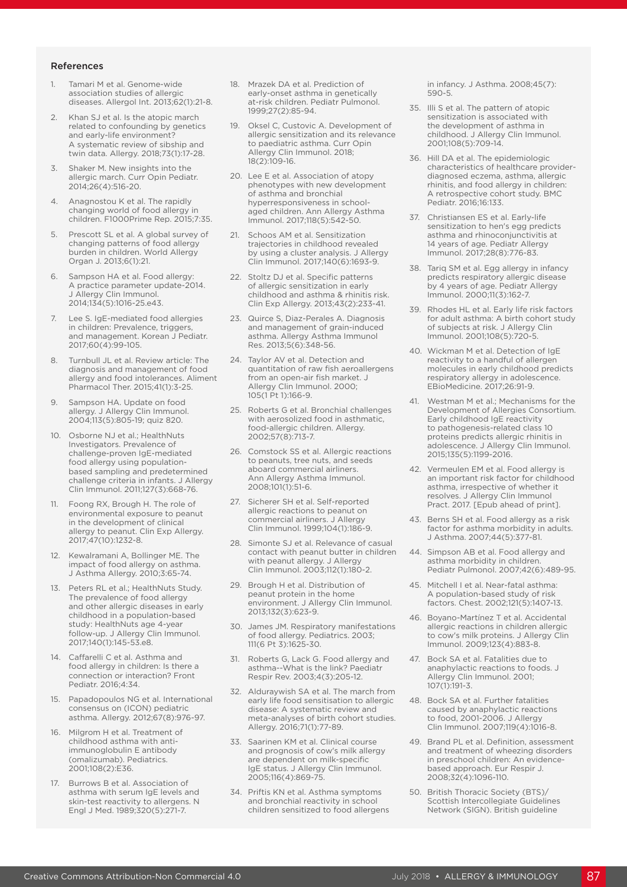#### References

- 1. Tamari M et al. Genome-wide association studies of allergic diseases. Allergol Int. 2013;62(1):21-8.
- 2. Khan SJ et al. Is the atopic march related to confounding by genetics and early-life environment? A systematic review of sibship and twin data. Allergy. 2018;73(1):17-28.
- 3. Shaker M. New insights into the allergic march. Curr Opin Pediatr. 2014;26(4):516-20.
- 4. Anagnostou K et al. The rapidly changing world of food allergy in children. F1000Prime Rep. 2015;7:35.
- 5. Prescott SL et al. A global survey of changing patterns of food allergy burden in children. World Allergy Organ J. 2013;6(1):21.
- Sampson HA et al. Food allergy: A practice parameter update-2014. J Allergy Clin Immunol. 2014;134(5):1016-25.e43.
- Lee S. IgE-mediated food allergies in children: Prevalence, triggers, and management. Korean J Pediatr. 2017;60(4):99-105.
- Turnbull JL et al. Review article: The diagnosis and management of food allergy and food intolerances. Aliment Pharmacol Ther. 2015;41(1):3-25.
- 9. Sampson HA. Update on food allergy. J Allergy Clin Immunol. 2004;113(5):805-19; quiz 820.
- 10. Osborne NJ et al.; HealthNuts Investigators. Prevalence of challenge-proven IgE-mediated food allergy using populationbased sampling and predetermined challenge criteria in infants. J Allergy Clin Immunol. 2011;127(3):668-76.
- 11. Foong RX, Brough H. The role of environmental exposure to peanut in the development of clinical allergy to peanut. Clin Exp Allergy. 2017;47(10):1232-8.
- 12. Kewalramani A, Bollinger ME. The impact of food allergy on asthma. J Asthma Allergy. 2010;3:65-74.
- 13. Peters RL et al.; HealthNuts Study. The prevalence of food allergy and other allergic diseases in early childhood in a population-based study: HealthNuts age 4-year follow-up. J Allergy Clin Immunol. 2017;140(1):145-53.e8.
- 14. Caffarelli C et al. Asthma and food allergy in children: Is there a connection or interaction? Front Pediatr. 2016;4:34.
- 15. Papadopoulos NG et al. International consensus on (ICON) pediatric asthma. Allergy. 2012;67(8):976-97.
- 16. Milgrom H et al. Treatment of childhood asthma with antiimmunoglobulin E antibody (omalizumab). Pediatrics. 2001;108(2):E36.
- 17. Burrows B et al. Association of asthma with serum IgE levels and skin-test reactivity to allergens. N Engl J Med. 1989;320(5):271-7.
- 18. Mrazek DA et al. Prediction of early-onset asthma in genetically at-risk children. Pediatr Pulmonol. 1999;27(2):85-94.
- 19. Oksel C, Custovic A. Development of allergic sensitization and its relevance to paediatric asthma. Curr Opin Allergy Clin Immunol. 2018; 18(2):109-16.
- 20. Lee E et al. Association of atopy phenotypes with new development of asthma and bronchial hyperresponsiveness in schoolaged children. Ann Allergy Asthma Immunol. 2017;118(5):542-50.
- 21. Schoos AM et al. Sensitization trajectories in childhood revealed by using a cluster analysis. J Allergy Clin Immunol. 2017;140(6):1693-9.
- 22. Stoltz DJ et al. Specific patterns of allergic sensitization in early childhood and asthma & rhinitis risk. Clin Exp Allergy. 2013;43(2):233-41.
- 23. Quirce S, Diaz-Perales A. Diagnosis and management of grain-induced asthma. Allergy Asthma Immunol Res. 2013;5(6):348-56.
- 24. Taylor AV et al. Detection and quantitation of raw fish aeroallergens from an open-air fish market. J Allergy Clin Immunol. 2000; 105(1 Pt 1):166-9.
- 25. Roberts G et al. Bronchial challenges with aerosolized food in asthmatic, food-allergic children. Allergy. 2002;57(8):713-7.
- 26. Comstock SS et al. Allergic reactions to peanuts, tree nuts, and seeds aboard commercial airliners. Ann Allergy Asthma Immunol. 2008;101(1):51-6.
- 27. Sicherer SH et al. Self-reported allergic reactions to peanut on commercial airliners. J Allergy Clin Immunol. 1999;104(1):186-9.
- 28. Simonte SJ et al. Relevance of casual contact with peanut butter in children with peanut allergy. J Allergy Clin Immunol. 2003;112(1):180-2.
- 29. Brough H et al. Distribution of peanut protein in the home environment. J Allergy Clin Immunol. 2013;132(3):623-9.
- 30. James JM. Respiratory manifestations of food allergy. Pediatrics. 2003; 111(6 Pt 3):1625-30.
- 31. Roberts G, Lack G. Food allergy and asthma--What is the link? Paediatr Respir Rev. 2003;4(3):205-12.
- 32. Alduraywish SA et al. The march from early life food sensitisation to allergic disease: A systematic review and meta-analyses of birth cohort studies. Allergy. 2016;71(1):77-89.
- 33. Saarinen KM et al. Clinical course and prognosis of cow's milk allergy are dependent on milk-specific IgE status. J Allergy Clin Immunol. 2005;116(4):869-75.
- 34. Priftis KN et al. Asthma symptoms and bronchial reactivity in school children sensitized to food allergens

in infancy. J Asthma. 2008;45(7): 590-5.

- 35. Illi S et al. The pattern of atopic sensitization is associated with the development of asthma in childhood. J Allergy Clin Immunol. 2001;108(5):709-14.
- 36. Hill DA et al. The epidemiologic characteristics of healthcare providerdiagnosed eczema, asthma, allergic rhinitis, and food allergy in children: A retrospective cohort study. BMC Pediatr. 2016;16:133.
- 37. Christiansen ES et al. Early-life sensitization to hen's egg predicts asthma and rhinoconjunctivitis at 14 years of age. Pediatr Allergy Immunol. 2017;28(8):776-83.
- 38. Tariq SM et al. Egg allergy in infancy predicts respiratory allergic disease by 4 years of age. Pediatr Allergy Immunol. 2000;11(3):162-7.
- 39. Rhodes HL et al. Early life risk factors for adult asthma: A birth cohort study of subjects at risk. J Allergy Clin Immunol. 2001;108(5):720-5.
- 40. Wickman M et al. Detection of IgE reactivity to a handful of allergen molecules in early childhood predicts respiratory allergy in adolescence. EBioMedicine. 2017;26:91-9.
- 41. Westman M et al.; Mechanisms for the Development of Allergies Consortium. Early childhood IgE reactivity to pathogenesis-related class 10 proteins predicts allergic rhinitis in adolescence. J Allergy Clin Immunol. 2015;135(5):1199-2016.
- 42. Vermeulen EM et al. Food allergy is an important risk factor for childhood asthma, irrespective of whether it resolves. J Allergy Clin Immunol Pract. 2017. [Epub ahead of print].
- 43. Berns SH et al. Food allergy as a risk factor for asthma morbidity in adults. J Asthma. 2007;44(5):377-81.
- 44. Simpson AB et al. Food allergy and asthma morbidity in children. Pediatr Pulmonol. 2007;42(6):489-95.
- 45. Mitchell I et al. Near-fatal asthma: A population-based study of risk factors. Chest. 2002;121(5):1407-13.
- 46. Boyano-Martínez T et al. Accidental allergic reactions in children allergic to cow's milk proteins. J Allergy Clin Immunol. 2009;123(4):883-8.
- 47. Bock SA et al. Fatalities due to anaphylactic reactions to foods. J Allergy Clin Immunol. 2001; 107(1):191-3.
- 48. Bock SA et al. Further fatalities caused by anaphylactic reactions to food, 2001-2006. J Allergy Clin Immunol. 2007;119(4):1016-8.
- 49. Brand PL et al. Definition, assessment and treatment of wheezing disorders in preschool children: An evidencebased approach. Eur Respir J. 2008;32(4):1096-110.
- 50. British Thoracic Society (BTS)/ Scottish Intercollegiate Guidelines Network (SIGN). British guideline